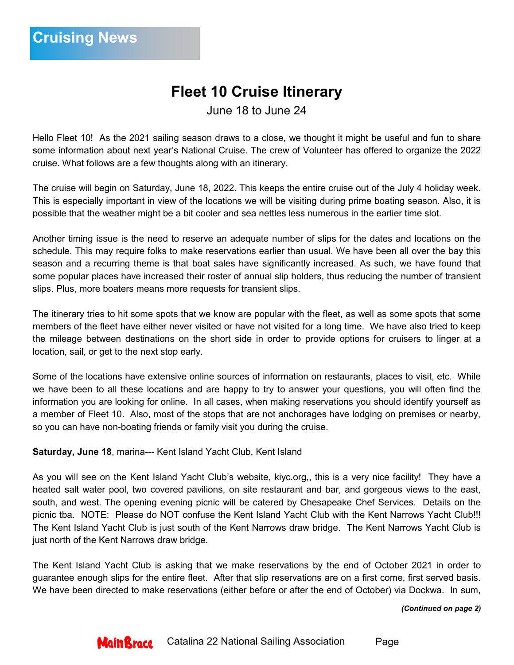# **Fleet 10 Cruise Itinerary**

June 18 to June 24

Hello Fleet 10! As the 2021 sailing season draws to a close, we thought it might be useful and fun to share some information about next year's National Cruise. The crew of Volunteer has offered to organize the 2022 cruise. What follows are a few thoughts along with an itinerary.

The cruise will begin on Saturday, June 18, 2022. This keeps the entire cruise out of the July 4 holiday week. This is especially important in view of the locations we will be visiting during prime boating season. Also, it is possible that the weather might be a bit cooler and sea nettles less numerous in the earlier time slot.

Another timing issue is the need to reserve an adequate number of slips for the dates and locations on the schedule. This may require folks to make reservations earlier than usual. We have been all over the bay this season and a recurring theme is that boat sales have significantly increased. As such, we have found that some popular places have increased their roster of annual slip holders, thus reducing the number of transient slips. Plus, more boaters means more requests for transient slips.

The itinerary tries to hit some spots that we know are popular with the fleet, as well as some spots that some members of the fleet have either never visited or have not visited for a long time. We have also tried to keep the mileage between destinations on the short side in order to provide options for cruisers to linger at a location, sail, or get to the next stop early.

Some of the locations have extensive online sources of information on restaurants, places to visit, etc. While we have been to all these locations and are happy to try to answer your questions, you will often find the information you are looking for online. In all cases, when making reservations you should identify yourself as a member of Fleet 10. Also, most of the stops that are not anchorages have lodging on premises or nearby, so you can have non-boating friends or family visit you during the cruise.

**Saturday, June 18**, marina--- Kent Island Yacht Club, Kent Island

As you will see on the Kent Island Yacht Club's website, kiyc.org,, this is a very nice facility! They have a heated salt water pool, two covered pavilions, on site restaurant and bar, and gorgeous views to the east, south, and west. The opening evening picnic will be catered by Chesapeake Chef Services. Details on the picnic tba. NOTE: Please do NOT confuse the Kent Island Yacht Club with the Kent Narrows Yacht Club!!! The Kent Island Yacht Club is just south of the Kent Narrows draw bridge. The Kent Narrows Yacht Club is just north of the Kent Narrows draw bridge.

The Kent Island Yacht Club is asking that we make reservations by the end of October 2021 in order to guarantee enough slips for the entire fleet. After that slip reservations are on a first come, first served basis. We have been directed to make reservations (either before or after the end of October) via Dockwa. In sum,

*(Continued on page 2)*



Catalina 22 National Sailing Association Page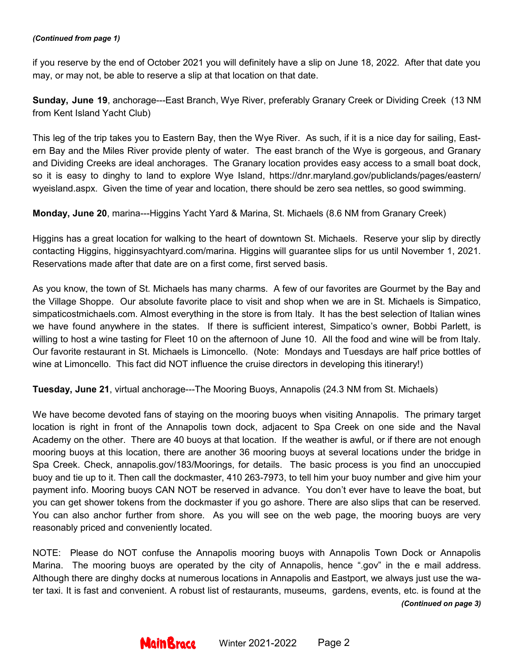#### *(Continued from page 1)*

if you reserve by the end of October 2021 you will definitely have a slip on June 18, 2022. After that date you may, or may not, be able to reserve a slip at that location on that date.

**Sunday, June 19**, anchorage---East Branch, Wye River, preferably Granary Creek or Dividing Creek (13 NM from Kent Island Yacht Club)

This leg of the trip takes you to Eastern Bay, then the Wye River. As such, if it is a nice day for sailing, Eastern Bay and the Miles River provide plenty of water. The east branch of the Wye is gorgeous, and Granary and Dividing Creeks are ideal anchorages. The Granary location provides easy access to a small boat dock, so it is easy to dinghy to land to explore Wye Island, https://dnr.maryland.gov/publiclands/pages/eastern/ wyeisland.aspx. Given the time of year and location, there should be zero sea nettles, so good swimming.

**Monday, June 20**, marina---Higgins Yacht Yard & Marina, St. Michaels (8.6 NM from Granary Creek)

Higgins has a great location for walking to the heart of downtown St. Michaels. Reserve your slip by directly contacting Higgins, higginsyachtyard.com/marina. Higgins will guarantee slips for us until November 1, 2021. Reservations made after that date are on a first come, first served basis.

As you know, the town of St. Michaels has many charms. A few of our favorites are Gourmet by the Bay and the Village Shoppe. Our absolute favorite place to visit and shop when we are in St. Michaels is Simpatico, simpaticostmichaels.com. Almost everything in the store is from Italy. It has the best selection of Italian wines we have found anywhere in the states. If there is sufficient interest, Simpatico's owner, Bobbi Parlett, is willing to host a wine tasting for Fleet 10 on the afternoon of June 10. All the food and wine will be from Italy. Our favorite restaurant in St. Michaels is Limoncello. (Note: Mondays and Tuesdays are half price bottles of wine at Limoncello. This fact did NOT influence the cruise directors in developing this itinerary!)

**Tuesday, June 21**, virtual anchorage---The Mooring Buoys, Annapolis (24.3 NM from St. Michaels)

We have become devoted fans of staying on the mooring buoys when visiting Annapolis. The primary target location is right in front of the Annapolis town dock, adjacent to Spa Creek on one side and the Naval Academy on the other. There are 40 buoys at that location. If the weather is awful, or if there are not enough mooring buoys at this location, there are another 36 mooring buoys at several locations under the bridge in Spa Creek. Check, annapolis.gov/183/Moorings, for details. The basic process is you find an unoccupied buoy and tie up to it. Then call the dockmaster, 410 263-7973, to tell him your buoy number and give him your payment info. Mooring buoys CAN NOT be reserved in advance. You don't ever have to leave the boat, but you can get shower tokens from the dockmaster if you go ashore. There are also slips that can be reserved. You can also anchor further from shore. As you will see on the web page, the mooring buoys are very reasonably priced and conveniently located.

NOTE: Please do NOT confuse the Annapolis mooring buoys with Annapolis Town Dock or Annapolis Marina. The mooring buoys are operated by the city of Annapolis, hence ".gov" in the e mail address. Although there are dinghy docks at numerous locations in Annapolis and Eastport, we always just use the water taxi. It is fast and convenient. A robust list of restaurants, museums, gardens, events, etc. is found at the *(Continued on page 3)*

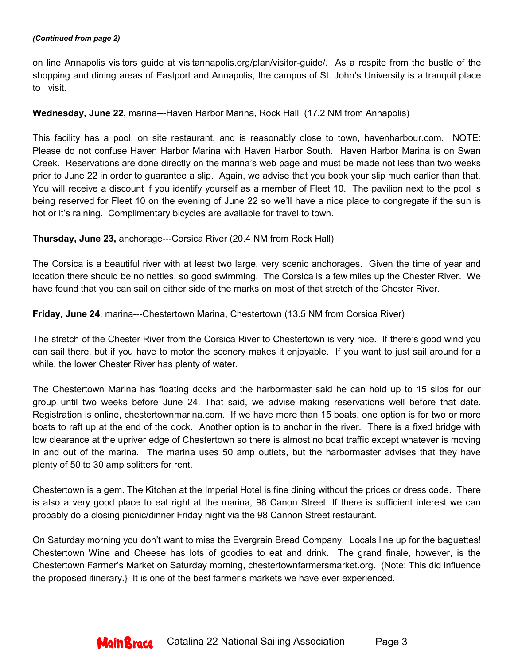#### *(Continued from page 2)*

on line Annapolis visitors guide at visitannapolis.org/plan/visitor-guide/. As a respite from the bustle of the shopping and dining areas of Eastport and Annapolis, the campus of St. John's University is a tranquil place to visit.

## **Wednesday, June 22,** marina---Haven Harbor Marina, Rock Hall (17.2 NM from Annapolis)

This facility has a pool, on site restaurant, and is reasonably close to town, havenharbour.com. NOTE: Please do not confuse Haven Harbor Marina with Haven Harbor South. Haven Harbor Marina is on Swan Creek. Reservations are done directly on the marina's web page and must be made not less than two weeks prior to June 22 in order to guarantee a slip. Again, we advise that you book your slip much earlier than that. You will receive a discount if you identify yourself as a member of Fleet 10. The pavilion next to the pool is being reserved for Fleet 10 on the evening of June 22 so we'll have a nice place to congregate if the sun is hot or it's raining. Complimentary bicycles are available for travel to town.

### **Thursday, June 23,** anchorage---Corsica River (20.4 NM from Rock Hall)

The Corsica is a beautiful river with at least two large, very scenic anchorages. Given the time of year and location there should be no nettles, so good swimming. The Corsica is a few miles up the Chester River. We have found that you can sail on either side of the marks on most of that stretch of the Chester River.

### **Friday, June 24**, marina---Chestertown Marina, Chestertown (13.5 NM from Corsica River)

The stretch of the Chester River from the Corsica River to Chestertown is very nice. If there's good wind you can sail there, but if you have to motor the scenery makes it enjoyable. If you want to just sail around for a while, the lower Chester River has plenty of water.

The Chestertown Marina has floating docks and the harbormaster said he can hold up to 15 slips for our group until two weeks before June 24. That said, we advise making reservations well before that date. Registration is online, chestertownmarina.com. If we have more than 15 boats, one option is for two or more boats to raft up at the end of the dock. Another option is to anchor in the river. There is a fixed bridge with low clearance at the upriver edge of Chestertown so there is almost no boat traffic except whatever is moving in and out of the marina. The marina uses 50 amp outlets, but the harbormaster advises that they have plenty of 50 to 30 amp splitters for rent.

Chestertown is a gem. The Kitchen at the Imperial Hotel is fine dining without the prices or dress code. There is also a very good place to eat right at the marina, 98 Canon Street. If there is sufficient interest we can probably do a closing picnic/dinner Friday night via the 98 Cannon Street restaurant.

On Saturday morning you don't want to miss the Evergrain Bread Company. Locals line up for the baguettes! Chestertown Wine and Cheese has lots of goodies to eat and drink. The grand finale, however, is the Chestertown Farmer's Market on Saturday morning, chestertownfarmersmarket.org. (Note: This did influence the proposed itinerary.} It is one of the best farmer's markets we have ever experienced.